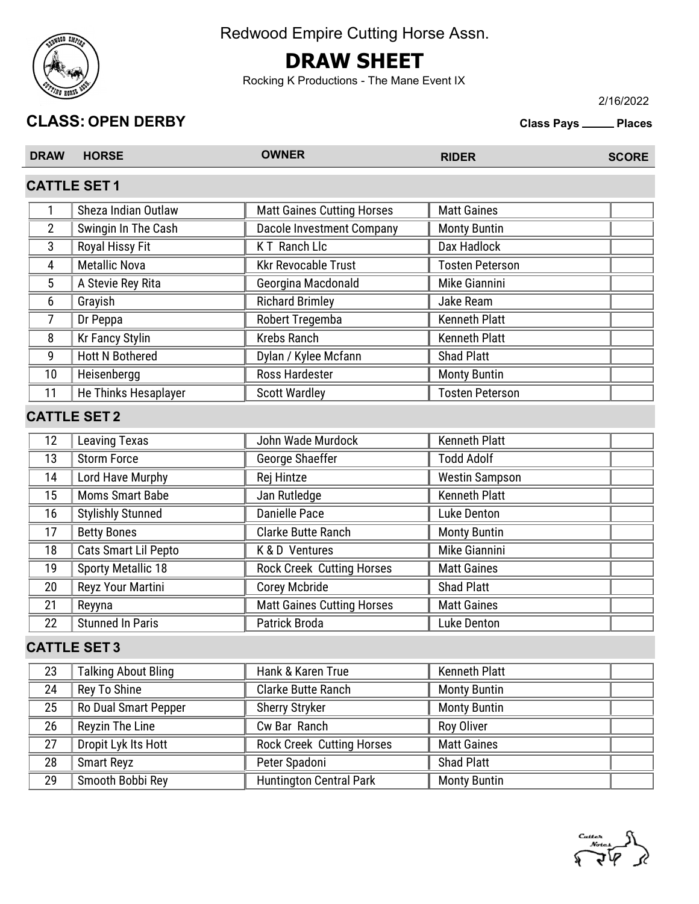

# DRAW SHEET

### **CLASS: OPEN DERBY**

|                |                             | Redwood Empire Cutting Horse Assn.<br><b>DRAW SHEET</b><br>Rocking K Productions - The Mane Event IX |                        |                                             |  |
|----------------|-----------------------------|------------------------------------------------------------------------------------------------------|------------------------|---------------------------------------------|--|
|                | <b>CLASS: OPEN DERBY</b>    |                                                                                                      |                        | 2/16/2022<br><b>Class Pays _____ Places</b> |  |
| <b>DRAW</b>    | <b>HORSE</b>                | <b>OWNER</b>                                                                                         | <b>RIDER</b>           | <b>SCORE</b>                                |  |
|                | <b>CATTLE SET1</b>          |                                                                                                      |                        |                                             |  |
|                | Sheza Indian Outlaw         | <b>Matt Gaines Cutting Horses</b>                                                                    | <b>Matt Gaines</b>     |                                             |  |
| $\overline{2}$ | Swingin In The Cash         | <b>Dacole Investment Company</b>                                                                     | <b>Monty Buntin</b>    |                                             |  |
| 3              | Royal Hissy Fit             | <b>KT</b> Ranch Llc                                                                                  | Dax Hadlock            |                                             |  |
| 4              | <b>Metallic Nova</b>        | <b>Kkr Revocable Trust</b>                                                                           | <b>Tosten Peterson</b> |                                             |  |
| 5              | A Stevie Rey Rita           | Georgina Macdonald                                                                                   | Mike Giannini          |                                             |  |
| 6              | Grayish                     | <b>Richard Brimley</b>                                                                               | Jake Ream              |                                             |  |
| 7              | Dr Peppa                    | Robert Tregemba                                                                                      | <b>Kenneth Platt</b>   |                                             |  |
| 8              | <b>Kr Fancy Stylin</b>      | <b>Krebs Ranch</b>                                                                                   | <b>Kenneth Platt</b>   |                                             |  |
| 9              | <b>Hott N Bothered</b>      | Dylan / Kylee Mcfann                                                                                 | <b>Shad Platt</b>      |                                             |  |
| 10             | Heisenbergg                 | <b>Ross Hardester</b>                                                                                | <b>Monty Buntin</b>    |                                             |  |
| 11             | He Thinks Hesaplayer        | <b>Scott Wardley</b>                                                                                 | <b>Tosten Peterson</b> |                                             |  |
|                | <b>CATTLE SET 2</b>         |                                                                                                      |                        |                                             |  |
| 12             | <b>Leaving Texas</b>        | John Wade Murdock                                                                                    | <b>Kenneth Platt</b>   |                                             |  |
| 13             | <b>Storm Force</b>          | George Shaeffer                                                                                      | <b>Todd Adolf</b>      |                                             |  |
| 14             | Lord Have Murphy            | Rej Hintze                                                                                           | <b>Westin Sampson</b>  |                                             |  |
| 15             | Moms Smart Babe             | Jan Rutledge                                                                                         | Kenneth Platt          |                                             |  |
| 16             | <b>Stylishly Stunned</b>    | <b>Danielle Pace</b>                                                                                 | Luke Denton            |                                             |  |
| 17             | <b>Betty Bones</b>          | <b>Clarke Butte Ranch</b>                                                                            | <b>Monty Buntin</b>    |                                             |  |
| 18             | <b>Cats Smart Lil Pepto</b> | K & D Ventures                                                                                       | Mike Giannini          |                                             |  |
| 19             | <b>Sporty Metallic 18</b>   | <b>Rock Creek Cutting Horses</b>                                                                     | <b>Matt Gaines</b>     |                                             |  |
| 20             | Reyz Your Martini           | Corey Mcbride                                                                                        | Shad Platt             |                                             |  |
|                |                             |                                                                                                      |                        |                                             |  |

#### CATTLE SET 2

| 3                      | Royal Hissy Fit            | <b>KT</b> Ranch Llc               | Dax Hadlock            |  |
|------------------------|----------------------------|-----------------------------------|------------------------|--|
| 4                      | <b>Metallic Nova</b>       | <b>Kkr Revocable Trust</b>        | <b>Tosten Peterson</b> |  |
| A Stevie Rey Rita<br>5 |                            | Georgina Macdonald                | Mike Giannini          |  |
| 6                      | Grayish                    | <b>Richard Brimley</b>            | Jake Ream              |  |
| 7                      | Dr Peppa                   | Robert Tregemba                   | <b>Kenneth Platt</b>   |  |
| 8                      | <b>Kr Fancy Stylin</b>     | <b>Krebs Ranch</b>                | <b>Kenneth Platt</b>   |  |
| 9                      | <b>Hott N Bothered</b>     | Dylan / Kylee Mcfann              | <b>Shad Platt</b>      |  |
| 10                     | Heisenbergg                | <b>Ross Hardester</b>             | <b>Monty Buntin</b>    |  |
| 11                     | He Thinks Hesaplayer       | <b>Scott Wardley</b>              | <b>Tosten Peterson</b> |  |
|                        | <b>CATTLE SET 2</b>        |                                   |                        |  |
| 12                     | Leaving Texas              | John Wade Murdock                 | <b>Kenneth Platt</b>   |  |
| 13                     | <b>Storm Force</b>         | George Shaeffer                   | <b>Todd Adolf</b>      |  |
| 14                     | Lord Have Murphy           | Rej Hintze                        | <b>Westin Sampson</b>  |  |
| 15                     | <b>Moms Smart Babe</b>     | Jan Rutledge                      | <b>Kenneth Platt</b>   |  |
| 16                     | <b>Stylishly Stunned</b>   | <b>Danielle Pace</b>              | <b>Luke Denton</b>     |  |
| 17                     | <b>Betty Bones</b>         | <b>Clarke Butte Ranch</b>         | <b>Monty Buntin</b>    |  |
| 18                     | Cats Smart Lil Pepto       | K & D Ventures                    | Mike Giannini          |  |
| 19                     | <b>Sporty Metallic 18</b>  | <b>Rock Creek Cutting Horses</b>  | <b>Matt Gaines</b>     |  |
| 20                     | Reyz Your Martini          | Corey Mcbride                     | <b>Shad Platt</b>      |  |
| 21                     | Reyyna                     | <b>Matt Gaines Cutting Horses</b> | <b>Matt Gaines</b>     |  |
| 22                     | Stunned In Paris           | Patrick Broda                     | <b>Luke Denton</b>     |  |
|                        | <b>CATTLE SET 3</b>        |                                   |                        |  |
| 23                     | <b>Talking About Bling</b> | Hank & Karen True                 | <b>Kenneth Platt</b>   |  |
| 24                     | <b>Rey To Shine</b>        | <b>Clarke Butte Ranch</b>         | <b>Monty Buntin</b>    |  |
| 25                     | Ro Dual Smart Pepper       | Sherry Stryker                    | <b>Monty Buntin</b>    |  |
| 26                     | Reyzin The Line            | Cw Bar Ranch                      | Roy Oliver             |  |
| 27                     | Dropit Lyk Its Hott        | <b>Rock Creek Cutting Horses</b>  | <b>Matt Gaines</b>     |  |
| 28                     | <b>Smart Reyz</b>          | Peter Spadoni                     | <b>Shad Platt</b>      |  |
| 29                     | Smooth Bobbi Rey           | <b>Huntington Central Park</b>    | <b>Monty Buntin</b>    |  |

#### CATTLE SET 3

| 23 | <b>Talking About Bling</b> | Hank & Karen True                | <b>Kenneth Platt</b> |
|----|----------------------------|----------------------------------|----------------------|
| 24 | Rey To Shine               | <b>Clarke Butte Ranch</b>        | <b>Monty Buntin</b>  |
| 25 | Ro Dual Smart Pepper       | <b>Sherry Stryker</b>            | <b>Monty Buntin</b>  |
| 26 | Reyzin The Line            | Cw Bar Ranch                     | Roy Oliver           |
| 27 | Dropit Lyk Its Hott        | <b>Rock Creek Cutting Horses</b> | <b>Matt Gaines</b>   |
| 28 | <b>Smart Reyz</b>          | Peter Spadoni                    | <b>Shad Platt</b>    |
| 29 | Smooth Bobbi Rey           | <b>Huntington Central Park</b>   | <b>Monty Buntin</b>  |